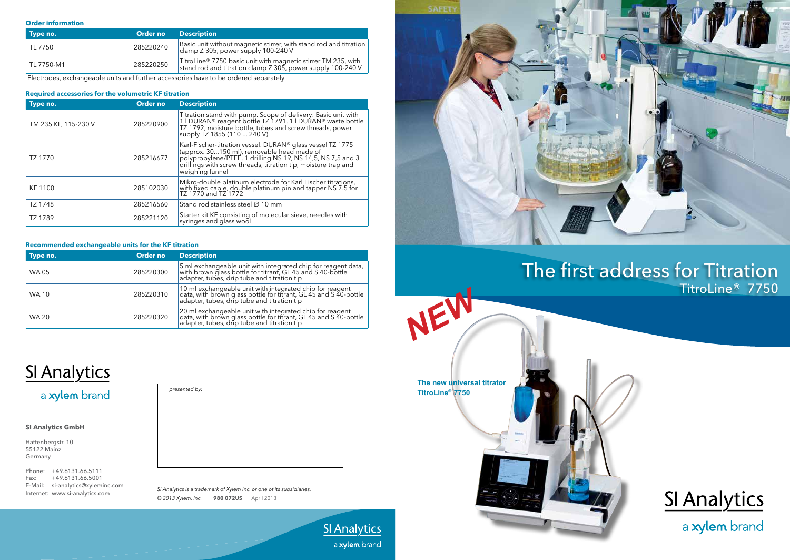# The first address for Titration TitroLine® 7750

# SI Analytics

a xylem brand

*NEW*

**SI Analytics** a xylem brand

| Type no.   | Order no  | <b>Description</b>                                                                                                           |
|------------|-----------|------------------------------------------------------------------------------------------------------------------------------|
| TL 7750    | 285220240 | Basic unit without magnetic stirrer, with stand rod and titration<br>  clamp Z 305, power supply 100-240 V                   |
| TL 7750-M1 | 285220250 | TitroLine® 7750 basic unit with magnetic stirrer TM 235, with<br>stand rod and titration clamp Z 305, power supply 100-240 V |

Electrodes, exchangeable units and further accessories have to be ordered separately

## **Required accessories for the volumetric KF titration**

| Type no.             | Order no  | <b>Description</b>                                                                                                                                                                                                                                           |
|----------------------|-----------|--------------------------------------------------------------------------------------------------------------------------------------------------------------------------------------------------------------------------------------------------------------|
| TM 235 KF, 115-230 V | 285220900 | Titration stand with pump. Scope of delivery: Basic unit with<br>1 I DURAN® reagent bottle TZ 1791, 1 I DURAN® waste bottle<br>TZ 1792, moisture bottle, tubes and screw threads, power<br>supply TZ 1855 (110  240 V)                                       |
| TZ 1770              | 285216677 | Karl-Fischer-titration vessel. DURAN® glass vessel TZ 1775<br>(approx. 30150 ml), removable head made of<br>polypropylene/PTFE, 1 drilling NS 19, NS 14,5, NS 7,5 and 3<br>drillings with screw threads, titration tip, moisture trap and<br>weighing funnel |
| KF 1100              | 285102030 | Mikro-double platinum electrode for Karl Fischer titrations,<br>with fixed cable, double platinum pin and tapper NS 7.5 for<br>TZ 1770 and TZ 1772                                                                                                           |
| TZ 1748              | 285216560 | Stand rod stainless steel Ø 10 mm                                                                                                                                                                                                                            |
| TZ 1789              | 285221120 | Starter kit KF consisting of molecular sieve, needles with<br>syringes and glass wool                                                                                                                                                                        |

### **Recommended exchangeable units for the KF titration**

| Type no.     | Order no  | <b>Description</b>                                                                                                                                                              |
|--------------|-----------|---------------------------------------------------------------------------------------------------------------------------------------------------------------------------------|
| <b>WA05</b>  | 285220300 | 5 ml exchangeable unit with integrated chip for reagent data,<br>with brown glass bottle for titrant, GL 45 and S 40-bottle<br>adapter, tubes, drip tube and titration tip      |
| <b>WA10</b>  | 285220310 | 10 ml exchangeable unit with integrated chip for reagent<br>  data, with brown glass bottle for titrant, GL 45 and S 40-bottle<br>  adapter, tubes, drip tube and titration tip |
| <b>WA 20</b> | 285220320 | 20 ml exchangeable unit with integrated chip for reagent<br>  data, with brown glass bottle for titrant, GL 45 and S 40-bottle<br>  adapter, tubes, drip tube and titration tip |

# **SI Analytics**

a xylem brand

## **Order information**



*SI Analytics is a trademark of Xylem Inc. or one of its subsidiaries. © 2013 Xylem, Inc.* **980 072US** April 2013



## **SI Analytics GmbH**

Hattenbergstr. 10 55122 Mainz Germany

Phone: +49.6131.66.5111 Fax: +49.6131.66.5001 E-Mail: si-analytics@xyleminc.com Internet: www.si-analytics.com

**The new universal titrator TitroLine® 7750**